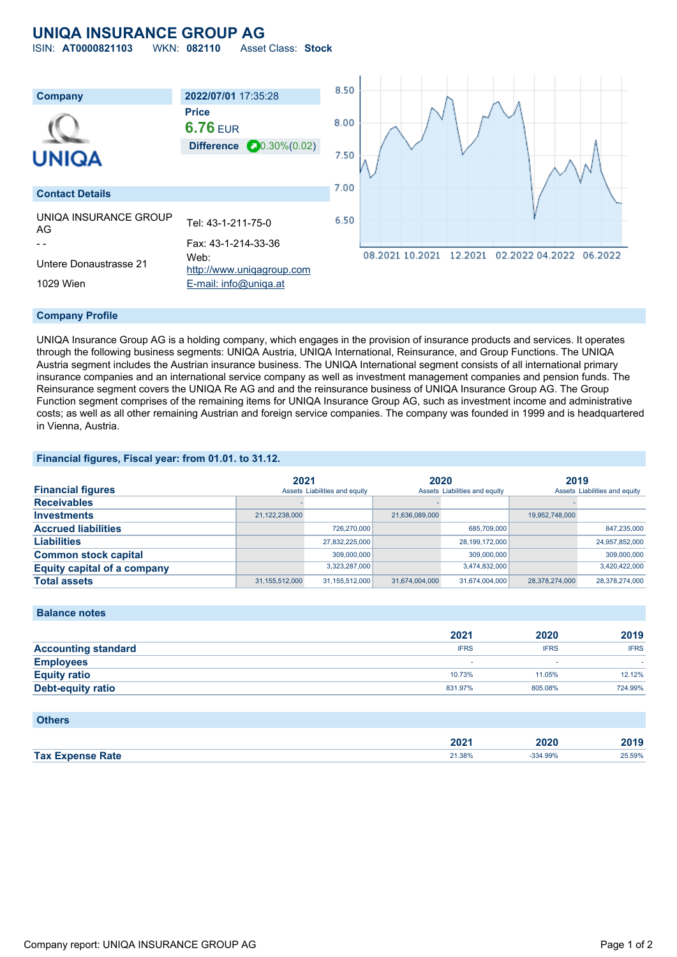# **UNIQA INSURANCE GROUP AG**

ISIN: **AT0000821103** WKN: **082110** Asset Class: **Stock**



### **Company Profile**

UNIQA Insurance Group AG is a holding company, which engages in the provision of insurance products and services. It operates through the following business segments: UNIQA Austria, UNIQA International, Reinsurance, and Group Functions. The UNIQA Austria segment includes the Austrian insurance business. The UNIQA International segment consists of all international primary insurance companies and an international service company as well as investment management companies and pension funds. The Reinsurance segment covers the UNIQA Re AG and and the reinsurance business of UNIQA Insurance Group AG. The Group Function segment comprises of the remaining items for UNIQA Insurance Group AG, such as investment income and administrative costs; as well as all other remaining Austrian and foreign service companies. The company was founded in 1999 and is headquartered in Vienna, Austria.

#### **Financial figures, Fiscal year: from 01.01. to 31.12.**

| <b>Financial figures</b>           | 2021           | Assets Liabilities and equity | 2020           | Assets Liabilities and equity | 2019           | Assets Liabilities and equity |
|------------------------------------|----------------|-------------------------------|----------------|-------------------------------|----------------|-------------------------------|
| <b>Receivables</b>                 |                |                               |                |                               |                |                               |
| <b>Investments</b>                 | 21,122,238,000 |                               | 21,636,089,000 |                               | 19,952,748,000 |                               |
| <b>Accrued liabilities</b>         |                | 726.270.000                   |                | 685,709,000                   |                | 847,235,000                   |
| <b>Liabilities</b>                 |                | 27,832,225,000                |                | 28,199,172,000                |                | 24,957,852,000                |
| <b>Common stock capital</b>        |                | 309,000,000                   |                | 309,000,000                   |                | 309,000,000                   |
| <b>Equity capital of a company</b> |                | 3,323,287,000                 |                | 3,474,832,000                 |                | 3,420,422,000                 |
| <b>Total assets</b>                | 31,155,512,000 | 31,155,512,000                | 31,674,004,000 | 31,674,004,000                | 28.378.274.000 | 28,378,274,000                |

| <b>PURITUS HULUS</b>       |             |             |             |
|----------------------------|-------------|-------------|-------------|
|                            | 2021        | 2020        | 2019        |
| <b>Accounting standard</b> | <b>IFRS</b> | <b>IFRS</b> | <b>IFRS</b> |
| <b>Employees</b>           |             |             |             |
| <b>Equity ratio</b>        | 10.73%      | 11.05%      | 12.12%      |
| <b>Debt-equity ratio</b>   | 831.97%     | 805.08%     | 724.99%     |

## **Others**

**Balance notes**

|                         | 2024<br>ZUZ 1 | 2020    | 2040   |
|-------------------------|---------------|---------|--------|
| <b>Tax Expense Rate</b> | 21.38%        | 334.99% | 25.59% |